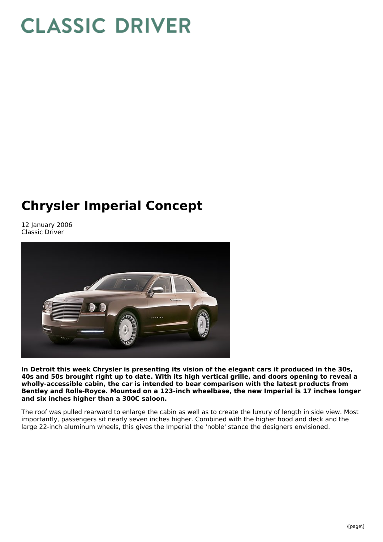## **CLASSIC DRIVER**

## **Chrysler Imperial Concept**

12 January 2006 Classic Driver



**In Detroit this week Chrysler is presenting its vision of the elegant cars it produced in the 30s,** 40s and 50s brought right up to date. With its high vertical grille, and doors opening to reveal a **wholly-accessible cabin, the car is intended to bear comparison with the latest products from Bentley and Rolls-Royce. Mounted on a 123-inch wheelbase, the new Imperial is 17 inches longer and six inches higher than a 300C saloon.**

The roof was pulled rearward to enlarge the cabin as well as to create the luxury of length in side view. Most importantly, passengers sit nearly seven inches higher. Combined with the higher hood and deck and the large 22-inch aluminum wheels, this gives the Imperial the 'noble' stance the designers envisioned.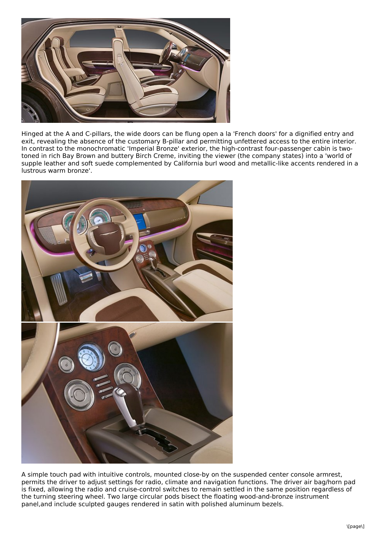

Hinged at the A and C-pillars, the wide doors can be flung open a la 'French doors' for a dignified entry and exit, revealing the absence of the customary B-pillar and permitting unfettered access to the entire interior. In contrast to the monochromatic 'Imperial Bronze' exterior, the high-contrast four-passenger cabin is twotoned in rich Bay Brown and buttery Birch Creme, inviting the viewer (the company states) into a 'world of supple leather and soft suede complemented by California burl wood and metallic-like accents rendered in a lustrous warm bronze'.



A simple touch pad with intuitive controls, mounted close-by on the suspended center console armrest, permits the driver to adjust settings for radio, climate and navigation functions. The driver air bag/horn pad is fixed, allowing the radio and cruise-control switches to remain settled in the same position regardless of the turning steering wheel. Two large circular pods bisect the floating wood-and-bronze instrument panel,and include sculpted gauges rendered in satin with polished aluminum bezels.